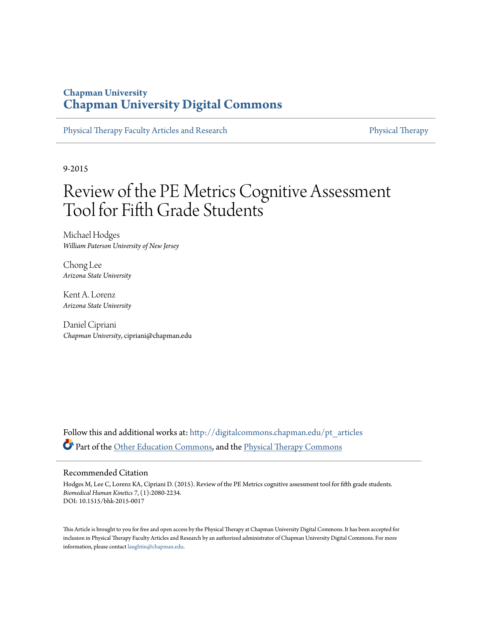### **Chapman University [Chapman University Digital Commons](http://digitalcommons.chapman.edu?utm_source=digitalcommons.chapman.edu%2Fpt_articles%2F6&utm_medium=PDF&utm_campaign=PDFCoverPages)**

[Physical Therapy Faculty Articles and Research](http://digitalcommons.chapman.edu/pt_articles?utm_source=digitalcommons.chapman.edu%2Fpt_articles%2F6&utm_medium=PDF&utm_campaign=PDFCoverPages) [Physical Therapy](http://digitalcommons.chapman.edu/physicaltherapy?utm_source=digitalcommons.chapman.edu%2Fpt_articles%2F6&utm_medium=PDF&utm_campaign=PDFCoverPages)

9-2015

# Review of the PE Metrics Cognitive Assessment Tool for Fifth Grade Students

Michael Hodges *William Paterson University of New Jersey*

Chong Lee *Arizona State University*

Kent A. Lorenz *Arizona State University*

Daniel Cipriani *Chapman University*, cipriani@chapman.edu

Follow this and additional works at: [http://digitalcommons.chapman.edu/pt\\_articles](http://digitalcommons.chapman.edu/pt_articles?utm_source=digitalcommons.chapman.edu%2Fpt_articles%2F6&utm_medium=PDF&utm_campaign=PDFCoverPages) Part of the [Other Education Commons,](http://network.bepress.com/hgg/discipline/811?utm_source=digitalcommons.chapman.edu%2Fpt_articles%2F6&utm_medium=PDF&utm_campaign=PDFCoverPages) and the [Physical Therapy Commons](http://network.bepress.com/hgg/discipline/754?utm_source=digitalcommons.chapman.edu%2Fpt_articles%2F6&utm_medium=PDF&utm_campaign=PDFCoverPages)

#### Recommended Citation

Hodges M, Lee C, Lorenz KA, Cipriani D. (2015). Review of the PE Metrics cognitive assessment tool for fifth grade students. *Biomedical Human Kinetics 7*, (1):2080-2234. DOI: 10.1515/bhk-2015-0017

This Article is brought to you for free and open access by the Physical Therapy at Chapman University Digital Commons. It has been accepted for inclusion in Physical Therapy Faculty Articles and Research by an authorized administrator of Chapman University Digital Commons. For more information, please contact [laughtin@chapman.edu](mailto:laughtin@chapman.edu).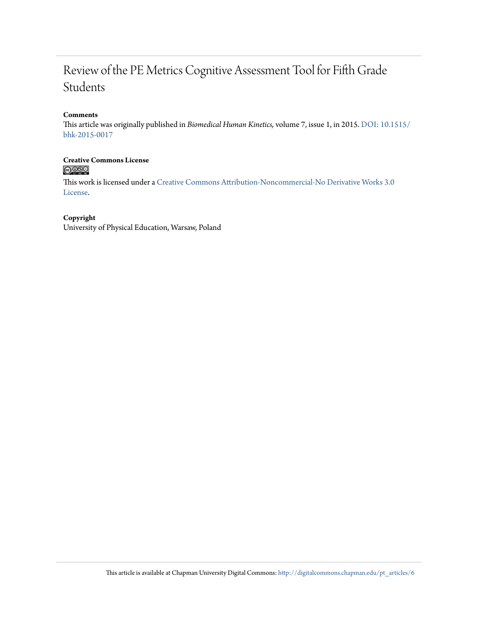## Review of the PE Metrics Cognitive Assessment Tool for Fifth Grade Students

#### **Comments**

This article was originally published in *Biomedical Human Kinetics,* volume 7, issue 1, in 2015. [DOI: 10.1515/](http://dx.doi.org/10.1515/bhk-2015-0017) [bhk-2015-0017](http://dx.doi.org/10.1515/bhk-2015-0017)

# Creative Commons License<br> **COOSO**

This work is licensed under a [Creative Commons Attribution-Noncommercial-No Derivative Works 3.0](http://creativecommons.org/licenses/by-nc-nd/3.0/) [License.](http://creativecommons.org/licenses/by-nc-nd/3.0/)

#### **Copyright**

University of Physical Education, Warsaw, Poland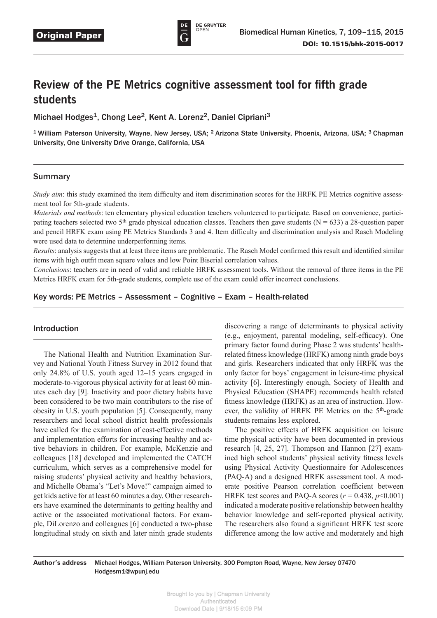

## **Review of the PE Metrics cognitive assessment tool for fifth grade students**

Michael Hodges<sup>1</sup>, Chong Lee<sup>2</sup>, Kent A. Lorenz<sup>2</sup>, Daniel Cipriani<sup>3</sup>

<sup>1</sup> William Paterson University, Wayne, New Jersey, USA; <sup>2</sup> Arizona State University, Phoenix, Arizona, USA; <sup>3</sup> Chapman University, One University Drive Orange, California, USA

#### Summary

*Study aim*: this study examined the item difficulty and item discrimination scores for the HRFK PE Metrics cognitive assessment tool for 5th-grade students.

*Materials and methods*: ten elementary physical education teachers volunteered to participate. Based on convenience, participating teachers selected two 5<sup>th</sup> grade physical education classes. Teachers then gave students (N = 633) a 28-question paper and pencil HRFK exam using PE Metrics Standards 3 and 4. Item difficulty and discrimination analysis and Rasch Modeling were used data to determine underperforming items.

*Results*: analysis suggests that at least three items are problematic. The Rasch Model confirmed this result and identified similar items with high outfit mean square values and low Point Biserial correlation values.

*Conclusions*: teachers are in need of valid and reliable HRFK assessment tools. Without the removal of three items in the PE Metrics HRFK exam for 5th-grade students, complete use of the exam could offer incorrect conclusions.

Key words: PE Metrics – Assessment – Cognitive – Exam – Health-related

#### Introduction

The National Health and Nutrition Examination Survey and National Youth Fitness Survey in 2012 found that only 24.8% of U.S. youth aged 12–15 years engaged in moderate-to-vigorous physical activity for at least 60 minutes each day [9]. Inactivity and poor dietary habits have been considered to be two main contributors to the rise of obesity in U.S. youth population [5]. Consequently, many researchers and local school district health professionals have called for the examination of cost-effective methods and implementation efforts for increasing healthy and active behaviors in children. For example, McKenzie and colleagues [18] developed and implemented the CATCH curriculum, which serves as a comprehensive model for raising students' physical activity and healthy behaviors, and Michelle Obama's "Let's Move!" campaign aimed to get kids active for at least 60 minutes a day. Other researchers have examined the determinants to getting healthy and active or the associated motivational factors. For example, DiLorenzo and colleagues [6] conducted a two-phase longitudinal study on sixth and later ninth grade students discovering a range of determinants to physical activity (e.g., enjoyment, parental modeling, self-efficacy). One primary factor found during Phase 2 was students' healthrelated fitness knowledge (HRFK) among ninth grade boys and girls. Researchers indicated that only HRFK was the only factor for boys' engagement in leisure-time physical activity [6]. Interestingly enough, Society of Health and Physical Education (SHAPE) recommends health related fitness knowledge (HRFK) as an area of instruction. However, the validity of HRFK PE Metrics on the 5<sup>th</sup>-grade students remains less explored.

The positive effects of HRFK acquisition on leisure time physical activity have been documented in previous research [4, 25, 27]. Thompson and Hannon [27] examined high school students' physical activity fitness levels using Physical Activity Questionnaire for Adolescences (PAQ-A) and a designed HRFK assessment tool. A moderate positive Pearson correlation coefficient between HRFK test scores and PAQ-A scores ( $r = 0.438$ ,  $p \le 0.001$ ) indicated a moderate positive relationship between healthy behavior knowledge and self-reported physical activity. The researchers also found a significant HRFK test score difference among the low active and moderately and high

**Author's address** Michael Hodges, William Paterson University, 300 Pompton Road, Wayne, New Jersey 07470 Hodgesm1@wpunj.edu

> Brought to you by | Chapman University Authenticated Download Date | 9/18/15 6:09 PM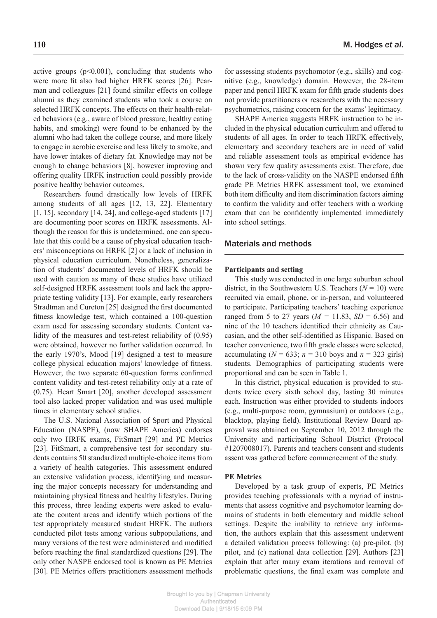active groups  $(p<0.001)$ , concluding that students who were more fit also had higher HRFK scores [26]. Pearman and colleagues [21] found similar effects on college alumni as they examined students who took a course on selected HRFK concepts. The effects on their health-related behaviors (e.g., aware of blood pressure, healthy eating habits, and smoking) were found to be enhanced by the alumni who had taken the college course, and more likely to engage in aerobic exercise and less likely to smoke, and have lower intakes of dietary fat. Knowledge may not be enough to change behaviors [8], however improving and offering quality HRFK instruction could possibly provide positive healthy behavior outcomes.

Researchers found drastically low levels of HRFK among students of all ages [12, 13, 22]. Elementary  $[1, 15]$ , secondary  $[14, 24]$ , and college-aged students  $[17]$ are documenting poor scores on HRFK assessments. Although the reason for this is undetermined, one can speculate that this could be a cause of physical education teachers' misconceptions on HRFK [2] or a lack of inclusion in physical education curriculum. Nonetheless, generalization of students' documented levels of HRFK should be used with caution as many of these studies have utilized self-designed HRFK assessment tools and lack the appropriate testing validity [13]. For example, early researchers Stradtman and Cureton [25] designed the first documented fitness knowledge test, which contained a 100-question exam used for assessing secondary students. Content validity of the measures and test-retest reliability of  $(0.95)$ were obtained, however no further validation occurred. In the early 1970's, Mood [19] designed a test to measure college physical education majors' knowledge of fitness. However, the two separate 60-question forms confirmed content validity and test-retest reliability only at a rate of (0.75). Heart Smart [20], another developed assessment tool also lacked proper validation and was used multiple times in elementary school studies.

The U.S. National Association of Sport and Physical Education (NASPE), (now SHAPE America) endorses only two HRFK exams, FitSmart [29] and PE Metrics [23]. FitSmart, a comprehensive test for secondary students contains 50 standardized multiple-choice items from a variety of health categories. This assessment endured an extensive validation process, identifying and measuring the major concepts necessary for understanding and maintaining physical fitness and healthy lifestyles. During this process, three leading experts were asked to evaluate the content areas and identify which portions of the test appropriately measured student HRFK. The authors conducted pilot tests among various subpopulations, and many versions of the test were administered and modified before reaching the final standardized questions [29]. The only other NASPE endorsed tool is known as PE Metrics [30]. PE Metrics offers practitioners assessment methods

for assessing students psychomotor (e.g., skills) and cognitive (e.g., knowledge) domain. However, the 28-item paper and pencil HRFK exam for fifth grade students does not provide practitioners or researchers with the necessary psychometrics, raising concern for the exams' legitimacy.

SHAPE America suggests HRFK instruction to be included in the physical education curriculum and offered to students of all ages. In order to teach HRFK effectively, elementary and secondary teachers are in need of valid and reliable assessment tools as empirical evidence has shown very few quality assessments exist. Therefore, due to the lack of cross-validity on the NASPE endorsed fifth grade PE Metrics HRFK assessment tool, we examined both item difficulty and item discrimination factors aiming to confirm the validity and offer teachers with a working exam that can be confidently implemented immediately into school settings.

#### Materials and methods

#### **Participants and setting**

This study was conducted in one large suburban school district, in the Southwestern U.S. Teachers  $(N = 10)$  were recruited via email, phone, or in-person, and volunteered to participate. Participating teachers' teaching experience ranged from 5 to 27 years ( $M = 11.83$ ,  $SD = 6.56$ ) and nine of the 10 teachers identified their ethnicity as Caucasian, and the other self-identified as Hispanic. Based on teacher convenience, two fifth grade classes were selected, accumulating ( $N = 633$ ;  $n = 310$  boys and  $n = 323$  girls) students. Demographics of participating students were proportional and can be seen in Table 1.

In this district, physical education is provided to students twice every sixth school day, lasting 30 minutes each. Instruction was either provided to students indoors (e.g., multi-purpose room, gymnasium) or outdoors (e.g., blacktop, playing field). Institutional Review Board approval was obtained on September 10, 2012 through the University and participating School District (Protocol #1207008017). Parents and teachers consent and students assent was gathered before commencement of the study.

#### **PE Metrics**

Developed by a task group of experts, PE Metrics provides teaching professionals with a myriad of instruments that assess cognitive and psychomotor learning domains of students in both elementary and middle school settings. Despite the inability to retrieve any information, the authors explain that this assessment underwent a detailed validation process following: (a) pre-pilot, (b) pilot, and (c) national data collection [29]. Authors [23] explain that after many exam iterations and removal of problematic questions, the final exam was complete and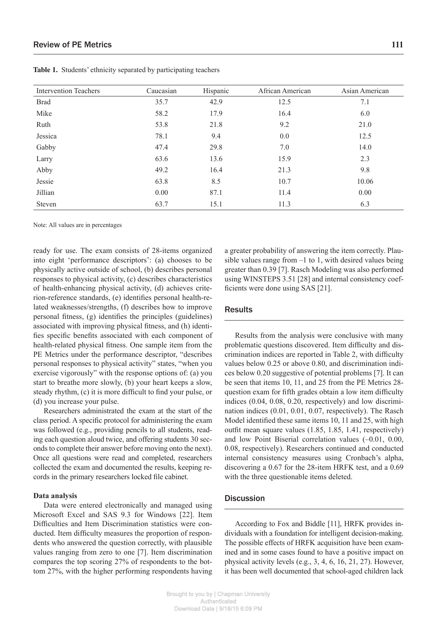| <b>Intervention Teachers</b> | Caucasian | Hispanic | African American | Asian American |
|------------------------------|-----------|----------|------------------|----------------|
| <b>Brad</b>                  | 35.7      | 42.9     | 12.5             | 7.1            |
| Mike                         | 58.2      | 17.9     | 16.4             | 6.0            |
| Ruth                         | 53.8      | 21.8     | 9.2              | 21.0           |
| Jessica                      | 78.1      | 9.4      | 0.0              | 12.5           |
| Gabby                        | 47.4      | 29.8     | 7.0              | 14.0           |
| Larry                        | 63.6      | 13.6     | 15.9             | 2.3            |
| Abby                         | 49.2      | 16.4     | 21.3             | 9.8            |
| Jessie                       | 63.8      | 8.5      | 10.7             | 10.06          |
| Jillian                      | 0.00      | 87.1     | 11.4             | 0.00           |
| <b>Steven</b>                | 63.7      | 15.1     | 11.3             | 6.3            |

**Table 1.** Students' ethnicity separated by participating teachers

Note: All values are in percentages

ready for use. The exam consists of 28-items organized into eight 'performance descriptors': (a) chooses to be physically active outside of school, (b) describes personal responses to physical activity, (c) describes characteristics of health-enhancing physical activity, (d) achieves criterion-reference standards, (e) identifies personal health-related weaknesses/strengths, (f) describes how to improve personal fitness, (g) identifies the principles (guidelines) associated with improving physical fitness, and (h) identifies specific benefits associated with each component of health-related physical fitness. One sample item from the PE Metrics under the performance descriptor, "describes personal responses to physical activity" states, "when you exercise vigorously" with the response options of: (a) you start to breathe more slowly, (b) your heart keeps a slow, steady rhythm, (c) it is more difficult to find your pulse, or (d) you increase your pulse.

Researchers administrated the exam at the start of the class period. A specific protocol for administering the exam was followed (e.g., providing pencils to all students, reading each question aloud twice, and offering students 30 seconds to complete their answer before moving onto the next). Once all questions were read and completed, researchers collected the exam and documented the results, keeping records in the primary researchers locked file cabinet.

#### **Data analysis**

Data were entered electronically and managed using Microsoft Excel and SAS 9.3 for Windows [22]. Item Difficulties and Item Discrimination statistics were conducted. Item difficulty measures the proportion of respondents who answered the question correctly, with plausible values ranging from zero to one [7]. Item discrimination compares the top scoring 27% of respondents to the bottom 27%, with the higher performing respondents having a greater probability of answering the item correctly. Plausible values range from –1 to 1, with desired values being greater than 0.39 [7]. Rasch Modeling was also performed using WINSTEPS 3.51 [28] and internal consistency coefficients were done using SAS [21].

#### **Results**

Results from the analysis were conclusive with many problematic questions discovered. Item difficulty and discrimination indices are reported in Table 2, with difficulty values below 0.25 or above 0.80, and discrimination indices below 0.20 suggestive of potential problems [7]. It can be seen that items 10, 11, and 25 from the PE Metrics 28 question exam for fifth grades obtain a low item difficulty indices (0.04, 0.08, 0.20, respectively) and low discrimination indices (0.01, 0.01, 0.07, respectively). The Rasch Model identified these same items 10, 11 and 25, with high outfit mean square values (1.85, 1.85, 1.41, respectively) and low Point Biserial correlation values (–0.01, 0.00, 0.08, respectively). Researchers continued and conducted internal consistency measures using Cronbach's alpha, discovering a 0.67 for the 28-item HRFK test, and a 0.69 with the three questionable items deleted.

#### **Discussion**

According to Fox and Biddle [11], HRFK provides individuals with a foundation for intelligent decision-making. The possible effects of HRFK acquisition have been examined and in some cases found to have a positive impact on physical activity levels (e.g., 3, 4, 6, 16, 21, 27). However, it has been well documented that school-aged children lack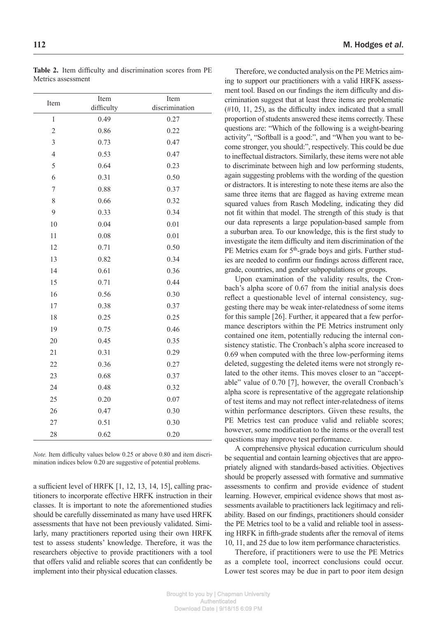| Item           | Item       | Item           |
|----------------|------------|----------------|
|                | difficulty | discrimination |
| $\mathbf{1}$   | 0.49       | 0.27           |
| $\overline{2}$ | 0.86       | 0.22           |
| $\overline{3}$ | 0.73       | 0.47           |
| $\overline{4}$ | 0.53       | 0.47           |
| 5              | 0.64       | 0.23           |
| 6              | 0.31       | 0.50           |
| 7              | 0.88       | 0.37           |
| 8              | 0.66       | 0.32           |
| 9              | 0.33       | 0.34           |
| 10             | 0.04       | 0.01           |
| 11             | 0.08       | 0.01           |
| 12             | 0.71       | 0.50           |
| 13             | 0.82       | 0.34           |
| 14             | 0.61       | 0.36           |
| 15             | 0.71       | 0.44           |
| 16             | 0.56       | 0.30           |
| 17             | 0.38       | 0.37           |
| 18             | 0.25       | 0.25           |
| 19             | 0.75       | 0.46           |
| 20             | 0.45       | 0.35           |
| 21             | 0.31       | 0.29           |
| 22             | 0.36       | 0.27           |
| 23             | 0.68       | 0.37           |
| 24             | 0.48       | 0.32           |
| 25             | 0.20       | 0.07           |
| 26             | 0.47       | 0.30           |
| 27             | 0.51       | 0.30           |
| 28             | 0.62       | 0.20           |
|                |            |                |

**Table 2.** Item difficulty and discrimination scores from PE Metrics assessment

*Note.* Item difficulty values below 0.25 or above 0.80 and item discrimination indices below 0.20 are suggestive of potential problems.

a sufficient level of HRFK [1, 12, 13, 14, 15], calling practitioners to incorporate effective HRFK instruction in their classes. It is important to note the aforementioned studies should be carefully disseminated as many have used HRFK assessments that have not been previously validated. Similarly, many practitioners reported using their own HRFK test to assess students' knowledge. Therefore, it was the researchers objective to provide practitioners with a tool that offers valid and reliable scores that can confidently be implement into their physical education classes.

Therefore, we conducted analysis on the PE Metrics aiming to support our practitioners with a valid HRFK assessment tool. Based on our findings the item difficulty and discrimination suggest that at least three items are problematic (#10, 11, 25), as the difficulty index indicated that a small proportion of students answered these items correctly. These questions are: "Which of the following is a weight-bearing activity", "Softball is a good:", and "When you want to become stronger, you should:", respectively. This could be due to ineffectual distractors. Similarly, these items were not able to discriminate between high and low performing students, again suggesting problems with the wording of the question or distractors. It is interesting to note these items are also the same three items that are flagged as having extreme mean squared values from Rasch Modeling, indicating they did not fit within that model. The strength of this study is that our data represents a large population-based sample from a suburban area. To our knowledge, this is the first study to investigate the item difficulty and item discrimination of the PE Metrics exam for 5<sup>th</sup>-grade boys and girls. Further studies are needed to confirm our findings across different race, grade, countries, and gender subpopulations or groups.

Upon examination of the validity results, the Cronbach's alpha score of 0.67 from the initial analysis does reflect a questionable level of internal consistency, suggesting there may be weak inter-relatedness of some items for this sample [26]. Further, it appeared that a few performance descriptors within the PE Metrics instrument only contained one item, potentially reducing the internal consistency statistic. The Cronbach's alpha score increased to 0.69 when computed with the three low-performing items deleted, suggesting the deleted items were not strongly related to the other items. This moves closer to an "acceptable" value of 0.70 [7], however, the overall Cronbach's alpha score is representative of the aggregate relationship of test items and may not reflect inter-relatedness of items within performance descriptors. Given these results, the PE Metrics test can produce valid and reliable scores; however, some modification to the items or the overall test questions may improve test performance.

A comprehensive physical education curriculum should be sequential and contain learning objectives that are appropriately aligned with standards-based activities. Objectives should be properly assessed with formative and summative assessments to confirm and provide evidence of student learning. However, empirical evidence shows that most assessments available to practitioners lack legitimacy and reliability. Based on our findings, practitioners should consider the PE Metrics tool to be a valid and reliable tool in assessing HRFK in fifth-grade students after the removal of items 10, 11, and 25 due to low item performance characteristics.

Therefore, if practitioners were to use the PE Metrics as a complete tool, incorrect conclusions could occur. Lower test scores may be due in part to poor item design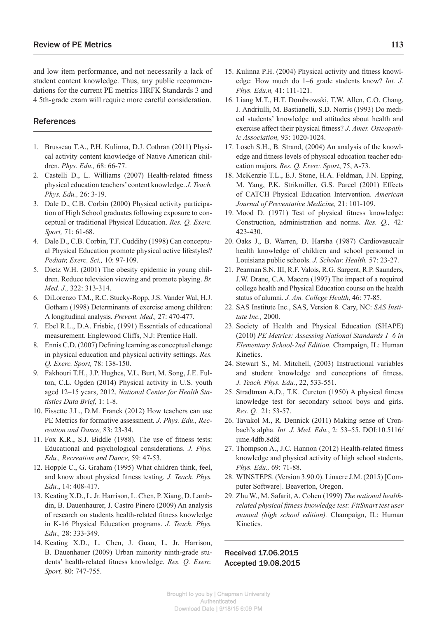and low item performance, and not necessarily a lack of student content knowledge. Thus, any public recommendations for the current PE metrics HRFK Standards 3 and 4 5th-grade exam will require more careful consideration.

#### References

- 1. Brusseau T.A., P.H. Kulinna, D.J. Cothran (2011) Physical activity content knowledge of Native American children. *Phys. Edu.,* 68: 66-77.
- 2. Castelli D., L. Williams (2007) Health-related fitness physical education teachers' content knowledge. *J. Teach. Phys. Edu.,* 26: 3-19.
- 3. Dale D., C.B. Corbin (2000) Physical activity participation of High School graduates following exposure to conceptual or traditional Physical Education. *Res. Q. Exerc. Sport,* 71: 61-68.
- 4. Dale D., C.B. Corbin, T.F. Cuddihy (1998) Can conceptual Physical Education promote physical active lifestyles? *Pediatr, Exerc, Sci,,* 10: 97-109.
- 5. Dietz W.H. (2001) The obesity epidemic in young children. Reduce television viewing and promote playing. *Br. Med. J.,* 322: 313-314.
- 6. DiLorenzo T.M., R.C. Stucky-Ropp, J.S. Vander Wal, H.J. Gotham (1998) Determinants of exercise among children: A longitudinal analysis. *Prevent. Med.,* 27: 470-477.
- 7. Ebel R.L., D.A. Frisbie, (1991) Essentials of educational measurement. Englewood Cliffs, N.J: Prentice Hall.
- 8. Ennis C.D. (2007) Defining learning as conceptual change in physical education and physical activity settings. *Res. Q. Exerc. Sport,* 78: 138-150.
- 9. Fakhouri T.H., J.P. Hughes, V.L. Burt, M. Song, J.E. Fulton, C.L. Ogden (2014) Physical activity in U.S. youth aged 12–15 years, 2012. *National Center for Health Statistics Data Brief,* 1: 1-8.
- 10. Fissette J.L., D.M. Franck (2012) How teachers can use PE Metrics for formative assessment. *J. Phys. Edu., Recreation and Dance,* 83: 23-34.
- 11. Fox K.R., S.J. Biddle (1988). The use of fitness tests: Educational and psychological considerations. *J. Phys. Edu., Recreation and Dance,* 59: 47-53.
- 12. Hopple C., G. Graham (1995) What children think, feel, and know about physical fitness testing. *J. Teach. Phys. Edu.*, 14: 408-417.
- 13. Keating X.D., L. Jr. Harrison, L. Chen, P. Xiang, D. Lambdin, B. Dauenhaurer, J. Castro Pinero (2009) An analysis of research on students health-related fitness knowledge in K-16 Physical Education programs. *J. Teach. Phys. Edu.,* 28: 333-349.
- 14. Keating X.D., L. Chen, J. Guan, L. Jr. Harrison, B. Dauenhauer (2009) Urban minority ninth-grade students' health-related fitness knowledge. *Res. Q. Exerc. Sport,* 80: 747-755.
- 15. Kulinna P.H. (2004) Physical activity and fitness knowledge: How much do 1–6 grade students know? *Int. J. Phys. Edu.n,* 41: 111-121.
- 16. Liang M.T., H.T. Dombrowski, T.W. Allen, C.O. Chang, J. Andriulli, M. Bastianelli, S.D. Norris (1993) Do medical students' knowledge and attitudes about health and exercise affect their physical fitness? *J. Amer. Osteopathic Association,* 93: 1020-1024.
- 17. Losch S.H., B. Strand, (2004) An analysis of the knowledge and fitness levels of physical education teacher education majors. *Res. Q. Exerc. Sport*, 75, A-73.
- 18. McKenzie T.L., E.J. Stone, H.A. Feldman, J.N. Epping, M. Yang, P.K. Strikmiller, G.S. Parcel (2001) Effects of CATCH Physical Education Intervention. *American Journal of Preventative Medicine,* 21: 101-109.
- 19. Mood D. (1971) Test of physical fitness knowledge: Construction, administration and norms. *Res. Q.,* 42*:*  423-430.
- 20. Oaks J., B. Warren, D. Harsha (1987) Cardiovasucalr health knowledge of children and school personnel in Louisiana public schools. *J. Scholar. Health,* 57: 23-27.
- 21. Pearman S.N. III, R.F. Valois, R.G. Sargent, R.P. Saunders, J.W. Drane, C.A. Macera (1997) The impact of a required college health and Physical Education course on the health status of alumni. *J. Am. College Health*, 46: 77-85.
- 22. SAS Institute Inc., SAS, Version 8. Cary, NC: *SAS Institute Inc.,* 2000.
- 23. Society of Health and Physical Education (SHAPE) (2010) *PE Metrics: Assessing National Standards 1–6 in Elementary School-2nd Edition.* Champaign, IL: Human Kinetics.
- 24. Stewart S., M. Mitchell, (2003) Instructional variables and student knowledge and conceptions of fitness. *J. Teach. Phys. Edu.*, 22, 533-551.
- 25. Stradtman A.D., T.K. Cureton (1950) A physical fitness knowledge test for secondary school boys and girls. *Res. Q.,* 21: 53-57.
- 26. Tavakol M., R. Dennick (2011) Making sense of Cronbach's alpha. *Int. J. Med. Edu.*, 2: 53–55. DOI:10.5116/ ijme.4dfb.8dfd
- 27. Thompson A., J.C. Hannon (2012) Health-related fitness knowledge and physical activity of high school students. *Phys. Edu.,* 69: 71-88.
- 28. WINSTEPS. (Version 3.90.0). Linacre J.M. (2015) [Computer Software]. Beaverton, Oregon.
- 29. Zhu W., M. Safarit, A. Cohen (1999) *The national healthrelated physical fitness knowledge test: FitSmart test user manual (high school edition).* Champaign, IL: Human Kinetics.

Received 17.06.2015 Accepted 19.08.2015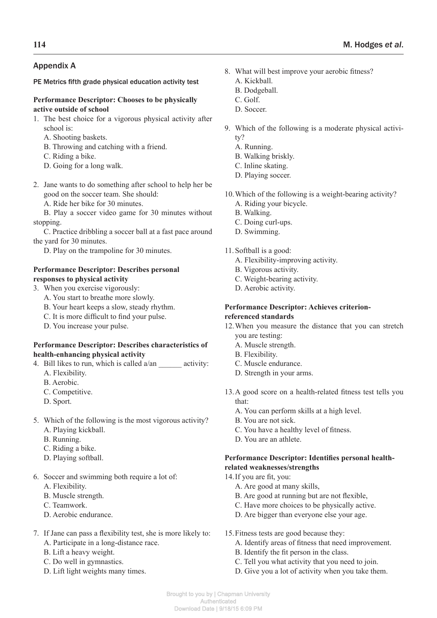### Appendix A

PE Metrics fifth grade physical education activity test

#### **Performance Descriptor: Chooses to be physically active outside of school**

- 1. The best choice for a vigorous physical activity after school is:
	- A. Shooting baskets.
	- B. Throwing and catching with a friend.
	- C. Riding a bike.
	- D. Going for a long walk.
- 2. Jane wants to do something after school to help her be good on the soccer team. She should:

A. Ride her bike for 30 minutes.

B. Play a soccer video game for 30 minutes without stopping.

C. Practice dribbling a soccer ball at a fast pace around the yard for 30 minutes.

D. Play on the trampoline for 30 minutes.

#### **Performance Descriptor: Describes personal responses to physical activity**

- 3. When you exercise vigorously:
	- A. You start to breathe more slowly.
	- B. Your heart keeps a slow, steady rhythm.
	- C. It is more difficult to find your pulse.
	- D. You increase your pulse.

#### **Performance Descriptor: Describes characteristics of health-enhancing physical activity**

- 4. Bill likes to run, which is called  $a/an$  activity:
	- A. Flexibility.
	- B. Aerobic.
	- C. Competitive.
	- D. Sport.
- 5. Which of the following is the most vigorous activity? A. Playing kickball.
	- B. Running.
	- C. Riding a bike.
	- D. Playing softball.
- 6. Soccer and swimming both require a lot of:
	- A. Flexibility.
	- B. Muscle strength.
	- C. Teamwork.
	- D. Aerobic endurance.
- 7. If Jane can pass a flexibility test, she is more likely to: A. Participate in a long-distance race.
	- B. Lift a heavy weight.
	- C. Do well in gymnastics.
	- D. Lift light weights many times.
- 8. What will best improve your aerobic fitness?
	- A. Kickball.
	- B. Dodgeball.
	- C. Golf.
	- D. Soccer.
- 9. Which of the following is a moderate physical activity?
	- A. Running.
	- B. Walking briskly.
	- C. Inline skating.
	- D. Playing soccer.
- 10.Which of the following is a weight-bearing activity? A. Riding your bicycle.
	- B. Walking.
	- C. Doing curl-ups.
	- D. Swimming.

#### 11.Softball is a good:

- A. Flexibility-improving activity.
- B. Vigorous activity.
- C. Weight-bearing activity.
- D. Aerobic activity.

#### **Performance Descriptor: Achieves criterionreferenced standards**

- 12.When you measure the distance that you can stretch you are testing:
	- A. Muscle strength.
	- B. Flexibility.
	- C. Muscle endurance.
	- D. Strength in your arms.
- 13.A good score on a health-related fitness test tells you that:
	- A. You can perform skills at a high level.
	- B. You are not sick.
	- C. You have a healthy level of fitness.
	- D. You are an athlete.

#### **Performance Descriptor: Identifies personal healthrelated weaknesses/strengths**

- 14.If you are fit, you:
	- A. Are good at many skills,
	- B. Are good at running but are not flexible,
	- C. Have more choices to be physically active.
	- D. Are bigger than everyone else your age.
- 15.Fitness tests are good because they:
	- A. Identify areas of fitness that need improvement.
	- B. Identify the fit person in the class.
	- C. Tell you what activity that you need to join.
	- D. Give you a lot of activity when you take them.